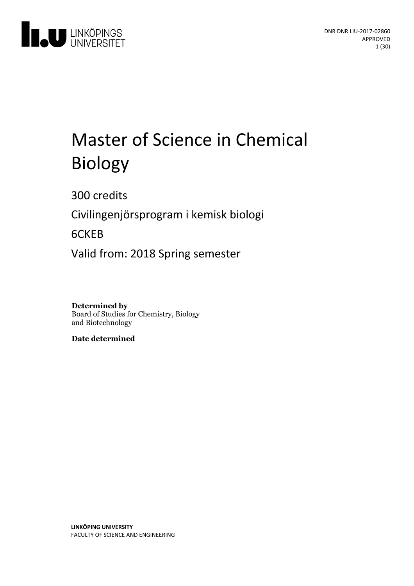

# Master of Science in Chemical Biology

300 credits

Civilingenjörsprogram i kemisk biologi

6CKEB

Valid from: 2018 Spring semester

**Determined by** Board of Studies for Chemistry, Biology and Biotechnology

**Date determined**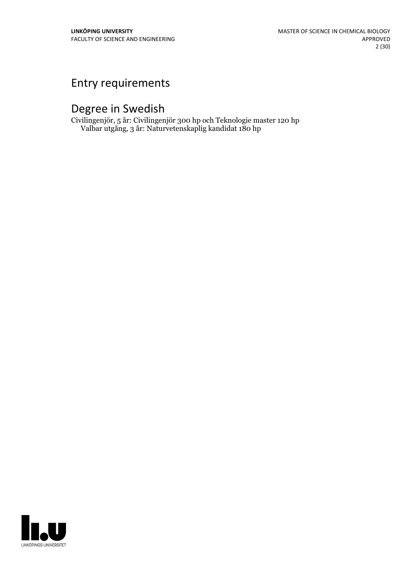## Entry requirements

## Degree in Swedish

Civilingenjör, 5 år: Civilingenjör 300 hp och Teknologie master 120 hp Valbar utgång, 3 år: Naturvetenskaplig kandidat 180 hp

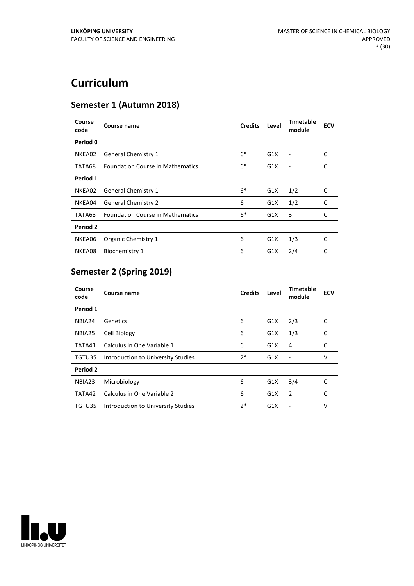## **Curriculum**

## **Semester 1 (Autumn 2018)**

| Course<br>code | Course name                             | <b>Credits</b> | Level | <b>Timetable</b><br>module | <b>ECV</b> |
|----------------|-----------------------------------------|----------------|-------|----------------------------|------------|
| Period 0       |                                         |                |       |                            |            |
| NKEA02         | <b>General Chemistry 1</b>              | $6*$           | G1X   |                            | C          |
| TATA68         | <b>Foundation Course in Mathematics</b> | $6*$           | G1X   |                            | C          |
| Period 1       |                                         |                |       |                            |            |
| NKEA02         | <b>General Chemistry 1</b>              | $6*$           | G1X   | 1/2                        | C          |
| NKEA04         | <b>General Chemistry 2</b>              | 6              | G1X   | 1/2                        | C          |
| TATA68         | <b>Foundation Course in Mathematics</b> | $6*$           | G1X   | 3                          | C          |
| Period 2       |                                         |                |       |                            |            |
| NKEA06         | Organic Chemistry 1                     | 6              | G1X   | 1/3                        | C          |
| NKEA08         | Biochemistry 1                          | 6              | G1X   | 2/4                        | C          |

## **Semester 2 (Spring 2019)**

| Course<br>code | Course name                        | <b>Credits</b> | Level | <b>Timetable</b><br>module | <b>ECV</b> |
|----------------|------------------------------------|----------------|-------|----------------------------|------------|
| Period 1       |                                    |                |       |                            |            |
| NBIA24         | Genetics                           | 6              | G1X   | 2/3                        | C          |
| NBIA25         | Cell Biology                       | 6              | G1X   | 1/3                        | C          |
| TATA41         | Calculus in One Variable 1         | 6              | G1X   | 4                          | C          |
| TGTU35         | Introduction to University Studies | $2*$           | G1X   |                            | v          |
| Period 2       |                                    |                |       |                            |            |
| NBIA23         | Microbiology                       | 6              | G1X   | 3/4                        | C          |
| TATA42         | Calculus in One Variable 2         | 6              | G1X   | 2                          | C          |
| TGTU35         | Introduction to University Studies | $2*$           | G1X   |                            | v          |

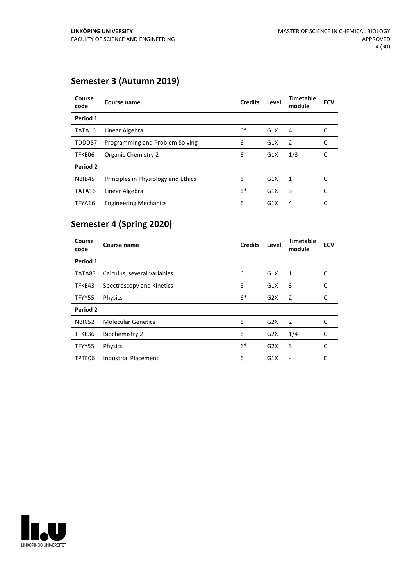## **Semester 3 (Autumn 2019)**

| Course<br>code | Course name                         | <b>Credits</b> | Level | <b>Timetable</b><br>module | <b>ECV</b> |
|----------------|-------------------------------------|----------------|-------|----------------------------|------------|
| Period 1       |                                     |                |       |                            |            |
| TATA16         | Linear Algebra                      | $6*$           | G1X   | 4                          |            |
| TDDD87         | Programming and Problem Solving     | 6              | G1X   | $\overline{2}$             |            |
| TFKE06         | Organic Chemistry 2                 | 6              | G1X   | 1/3                        | C          |
| Period 2       |                                     |                |       |                            |            |
| NBIB45         | Principles in Physiology and Ethics | 6              | G1X   | 1                          |            |
| TATA16         | Linear Algebra                      | $6*$           | G1X   | 3                          | C          |
| TFYA16         | <b>Engineering Mechanics</b>        | 6              | G1X   | 4                          | C          |

## **Semester 4 (Spring 2020)**

| Course<br>code  | Course name                 | <b>Credits</b> | Level | <b>Timetable</b><br>module | <b>ECV</b> |
|-----------------|-----------------------------|----------------|-------|----------------------------|------------|
| Period 1        |                             |                |       |                            |            |
| TATA83          | Calculus, several variables | 6              | G1X   | 1                          | C          |
| TFKE43          | Spectroscopy and Kinetics   | 6              | G1X   | 3                          | C          |
| TFYY55          | <b>Physics</b>              | $6*$           | G2X   | 2                          | C          |
| <b>Period 2</b> |                             |                |       |                            |            |
| NBIC52          | <b>Molecular Genetics</b>   | 6              | G2X   | 2                          | C          |
| TFKE36          | <b>Biochemistry 2</b>       | 6              | G2X   | 1/4                        | C          |
| TFYY55          | Physics                     | $6*$           | G2X   | 3                          | C          |
| TPTE06          | <b>Industrial Placement</b> | 6              | G1X   |                            | E          |

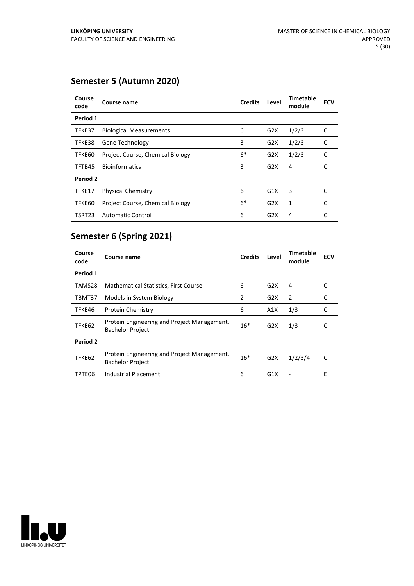## **Semester 5 (Autumn 2020)**

| Course<br>code | Course name                      | <b>Credits</b> | Level | <b>Timetable</b><br>module | <b>ECV</b> |
|----------------|----------------------------------|----------------|-------|----------------------------|------------|
| Period 1       |                                  |                |       |                            |            |
| TFKE37         | <b>Biological Measurements</b>   | 6              | G2X   | 1/2/3                      | C          |
| TFKE38         | <b>Gene Technology</b>           | 3              | G2X   | 1/2/3                      | C          |
| TFKE60         | Project Course, Chemical Biology | $6*$           | G2X   | 1/2/3                      | C          |
| TFTB45         | <b>Bioinformatics</b>            | 3              | G2X   | 4                          |            |
| Period 2       |                                  |                |       |                            |            |
| TFKE17         | <b>Physical Chemistry</b>        | 6              | G1X   | 3                          | C          |
| TFKE60         | Project Course, Chemical Biology | $6*$           | G2X   | 1                          | C          |
| TSRT23         | <b>Automatic Control</b>         | 6              | G2X   | 4                          | C          |

## **Semester 6 (Spring 2021)**

| Course<br>code | <b>Course name</b>                                                     | <b>Credits</b> | Level | <b>Timetable</b><br>module | <b>ECV</b> |
|----------------|------------------------------------------------------------------------|----------------|-------|----------------------------|------------|
| Period 1       |                                                                        |                |       |                            |            |
| TAMS28         | <b>Mathematical Statistics, First Course</b>                           | 6              | G2X   | 4                          | C          |
| TBMT37         | Models in System Biology                                               | 2              | G2X   | 2                          | C          |
| TFKE46         | <b>Protein Chemistry</b>                                               | 6              | A1X   | 1/3                        | C          |
| TFKE62         | Protein Engineering and Project Management,<br><b>Bachelor Project</b> | $16*$          | G2X   | 1/3                        | C          |
| Period 2       |                                                                        |                |       |                            |            |
| TFKE62         | Protein Engineering and Project Management,<br><b>Bachelor Project</b> | $16*$          | G2X   | 1/2/3/4                    | C          |
| TPTE06         | Industrial Placement                                                   | 6              | G1X   |                            | E          |

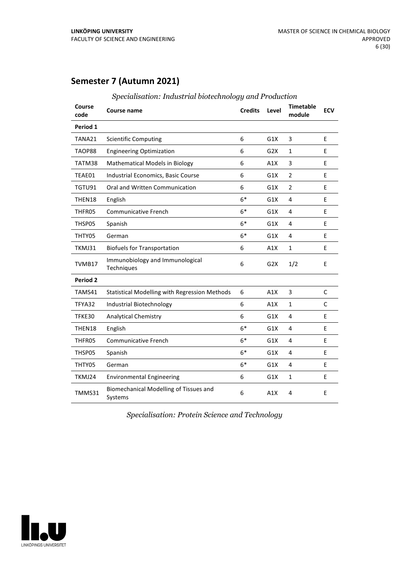## **Semester 7 (Autumn 2021)**

| Course<br>code | <b>Course name</b>                                | <b>Credits</b> | Level            | <b>Timetable</b><br>module | <b>ECV</b>   |
|----------------|---------------------------------------------------|----------------|------------------|----------------------------|--------------|
| Period 1       |                                                   |                |                  |                            |              |
| TANA21         | <b>Scientific Computing</b>                       | 6              | G1X              | 3                          | E            |
| TAOP88         | <b>Engineering Optimization</b>                   | 6              | G <sub>2</sub> X | $\mathbf{1}$               | E            |
| TATM38         | Mathematical Models in Biology                    | 6              | A1X              | 3                          | E            |
| TEAE01         | Industrial Economics, Basic Course                | 6              | G1X              | 2                          | E            |
| TGTU91         | Oral and Written Communication                    | 6              | G1X              | $\overline{2}$             | E            |
| THEN18         | English                                           | $6*$           | G1X              | 4                          | E            |
| THFR05         | <b>Communicative French</b>                       | $6*$           | G1X              | 4                          | E            |
| THSP05         | Spanish                                           | $6*$           | G1X              | 4                          | E            |
| THTY05         | German                                            | $6*$           | G1X              | 4                          | E            |
| TKMJ31         | <b>Biofuels for Transportation</b>                | 6              | A1X              | $\mathbf{1}$               | E            |
| TVMB17         | Immunobiology and Immunological<br>Techniques     | 6              | G2X              | 1/2                        | E            |
| Period 2       |                                                   |                |                  |                            |              |
| TAMS41         | Statistical Modelling with Regression Methods     | 6              | A1X              | 3                          | $\mathsf{C}$ |
| TFYA32         | Industrial Biotechnology                          | 6              | A1X              | $\mathbf{1}$               | C            |
| TFKE30         | <b>Analytical Chemistry</b>                       | 6              | G1X              | 4                          | E            |
| THEN18         | English                                           | $6*$           | G1X              | 4                          | E            |
| THFR05         | <b>Communicative French</b>                       | $6*$           | G1X              | 4                          | E            |
| THSP05         | Spanish                                           | $6*$           | G1X              | $\overline{4}$             | E            |
| THTY05         | German                                            | $6*$           | G1X              | 4                          | E            |
| TKMJ24         | <b>Environmental Engineering</b>                  | 6              | G1X              | $\mathbf{1}$               | E            |
| TMMS31         | Biomechanical Modelling of Tissues and<br>Systems | 6              | A1X              | 4                          | E            |

*Specialisation: Industrial biotechnology and Production*

*Specialisation: Protein Science and Technology*

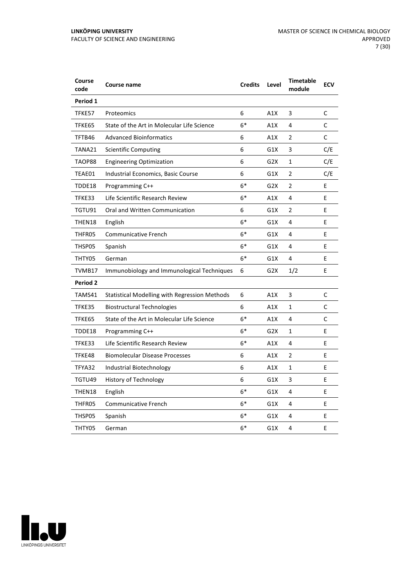| Course<br>code | <b>Course name</b>                                   | <b>Credits</b> | Level            | <b>Timetable</b><br>module | <b>ECV</b> |
|----------------|------------------------------------------------------|----------------|------------------|----------------------------|------------|
| Period 1       |                                                      |                |                  |                            |            |
| TFKE57         | Proteomics                                           | 6              | A1X              | 3                          | C          |
| TFKE65         | State of the Art in Molecular Life Science           | $6*$           | A1X              | 4                          | C          |
| TFTB46         | <b>Advanced Bioinformatics</b>                       | 6              | A1X              | $\overline{2}$             | C          |
| TANA21         | <b>Scientific Computing</b>                          | 6              | G1X              | 3                          | C/E        |
| TAOP88         | <b>Engineering Optimization</b>                      | 6              | G <sub>2</sub> X | 1                          | C/E        |
| TEAE01         | Industrial Economics, Basic Course                   | 6              | G1X              | 2                          | C/E        |
| TDDE18         | Programming C++                                      | $6*$           | G2X              | $\overline{2}$             | E          |
| TFKE33         | Life Scientific Research Review                      | $6*$           | A1X              | 4                          | E          |
| TGTU91         | Oral and Written Communication                       | 6              | G1X              | $\overline{2}$             | F.         |
| THEN18         | English                                              | 6*             | G1X              | 4                          | E          |
| THFR05         | Communicative French                                 | $6*$           | G1X              | 4                          | E          |
| THSP05         | Spanish                                              | $6*$           | G1X              | 4                          | E          |
| THTY05         | German                                               | $6*$           | G1X              | 4                          | E          |
| TVMB17         | Immunobiology and Immunological Techniques           | 6              | G <sub>2</sub> X | 1/2                        | E          |
| Period 2       |                                                      |                |                  |                            |            |
| TAMS41         | <b>Statistical Modelling with Regression Methods</b> | 6              | A1X              | 3                          | C          |
| TFKE35         | <b>Biostructural Technologies</b>                    | 6              | A1X              | $\mathbf{1}$               | С          |
| TFKE65         | State of the Art in Molecular Life Science           | $6*$           | A1X              | 4                          | С          |
| TDDE18         | Programming C++                                      | 6*             | G2X              | 1                          | E          |
| TFKE33         | Life Scientific Research Review                      | $6*$           | A1X              | 4                          | E          |
| TFKE48         | <b>Biomolecular Disease Processes</b>                | 6              | A1X              | $\overline{2}$             | E          |
| TFYA32         | Industrial Biotechnology                             | 6              | A1X              | 1                          | E          |
| TGTU49         | History of Technology                                | 6              | G1X              | 3                          | E          |
| THEN18         | English                                              | $6*$           | G1X              | 4                          | E          |
| THFR05         | <b>Communicative French</b>                          | $6*$           | G1X              | 4                          | E          |
| THSP05         | Spanish                                              | $6*$           | G1X              | 4                          | E          |
| THTY05         | German                                               | $6*$           | G1X              | 4                          | E          |

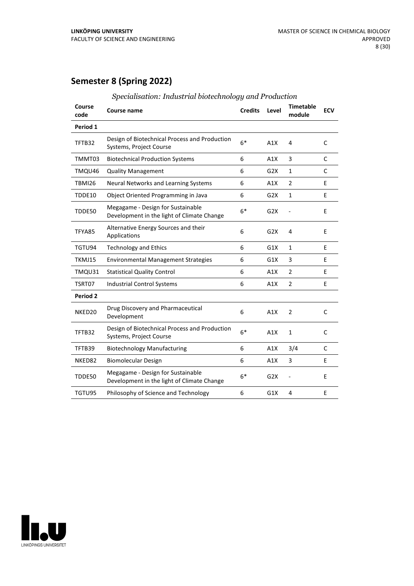## **Semester 8 (Spring 2022)**

| Course<br>code  | Course name                                                                     | <b>Credits</b> | Level | <b>Timetable</b><br>module | <b>ECV</b>   |
|-----------------|---------------------------------------------------------------------------------|----------------|-------|----------------------------|--------------|
| Period 1        |                                                                                 |                |       |                            |              |
| TFTB32          | Design of Biotechnical Process and Production<br>Systems, Project Course        | $6*$           | A1X   | 4                          | C            |
| TMMT03          | <b>Biotechnical Production Systems</b>                                          | 6              | A1X   | 3                          | $\mathsf{C}$ |
| TMQU46          | <b>Quality Management</b>                                                       | 6              | G2X   | $\mathbf{1}$               | C            |
| <b>TBMI26</b>   | Neural Networks and Learning Systems                                            | 6              | A1X   | $\overline{2}$             | E            |
| TDDE10          | Object Oriented Programming in Java                                             | 6              | G2X   | $\mathbf{1}$               | E            |
| TDDE50          | Megagame - Design for Sustainable<br>Development in the light of Climate Change | $6*$           | G2X   |                            | E            |
| TFYA85          | Alternative Energy Sources and their<br>Applications                            | 6              | G2X   | 4                          | E            |
| TGTU94          | <b>Technology and Ethics</b>                                                    | 6              | G1X   | 1                          | E            |
| TKMJ15          | <b>Environmental Management Strategies</b>                                      | 6              | G1X   | 3                          | E            |
| TMQU31          | <b>Statistical Quality Control</b>                                              | 6              | A1X   | $\overline{2}$             | E            |
| TSRT07          | <b>Industrial Control Systems</b>                                               | 6              | A1X   | $\overline{2}$             | E            |
| <b>Period 2</b> |                                                                                 |                |       |                            |              |
| NKED20          | Drug Discovery and Pharmaceutical<br>Development                                | 6              | A1X   | $\overline{2}$             | $\mathsf{C}$ |
| TFTB32          | Design of Biotechnical Process and Production<br>Systems, Project Course        | $6*$           | A1X   | $\mathbf{1}$               | C            |
| TFTB39          | <b>Biotechnology Manufacturing</b>                                              | 6              | A1X   | 3/4                        | C            |
| NKED82          | <b>Biomolecular Design</b>                                                      | 6              | A1X   | 3                          | E            |
| TDDE50          | Megagame - Design for Sustainable<br>Development in the light of Climate Change | $6*$           | G2X   |                            | E            |
| TGTU95          | Philosophy of Science and Technology                                            | 6              | G1X   | 4                          | E            |
|                 |                                                                                 |                |       |                            |              |

*Specialisation: Industrial biotechnology and Production*

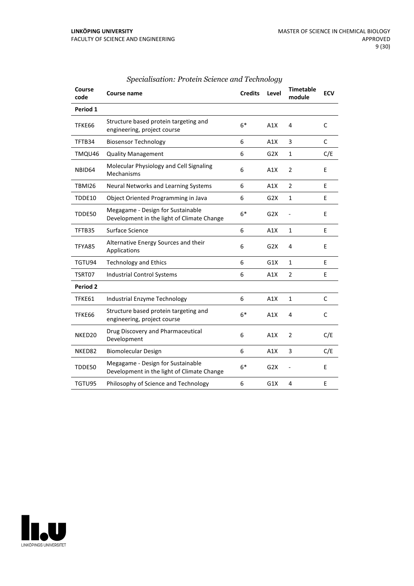| Course<br>code      | Course name                                                                     | <b>Credits</b> | Level            | <b>Timetable</b><br>module | <b>ECV</b>   |
|---------------------|---------------------------------------------------------------------------------|----------------|------------------|----------------------------|--------------|
| Period 1            |                                                                                 |                |                  |                            |              |
| TFKE66              | Structure based protein targeting and<br>engineering, project course            | $6*$           | A1X              | 4                          | $\mathsf{C}$ |
| TFTB34              | <b>Biosensor Technology</b>                                                     | 6              | A1X              | 3                          | $\mathsf{C}$ |
| TMQU46              | <b>Quality Management</b>                                                       | 6              | G2X              | $\mathbf{1}$               | C/E          |
| NBID64              | Molecular Physiology and Cell Signaling<br>Mechanisms                           | 6              | A1X              | $\overline{2}$             | E            |
| TBMI26              | Neural Networks and Learning Systems                                            | 6              | A1X              | $\overline{2}$             | E            |
| TDDE10              | Object Oriented Programming in Java                                             | 6              | G <sub>2</sub> X | $\mathbf 1$                | E            |
| TDDE50              | Megagame - Design for Sustainable<br>Development in the light of Climate Change | $6*$           | G2X              |                            | E            |
| TFTB35              | Surface Science                                                                 | 6              | A1X              | $\mathbf{1}$               | E            |
| TFYA85              | Alternative Energy Sources and their<br>Applications                            | 6              | G2X              | 4                          | E            |
| TGTU94              | <b>Technology and Ethics</b>                                                    | 6              | G1X              | $\mathbf{1}$               | E            |
| TSRT07              | <b>Industrial Control Systems</b>                                               | 6              | A1X              | $\overline{2}$             | E            |
| Period <sub>2</sub> |                                                                                 |                |                  |                            |              |
| TFKE61              | <b>Industrial Enzyme Technology</b>                                             | 6              | A1X              | 1                          | C            |
| TFKE66              | Structure based protein targeting and<br>engineering, project course            | $6*$           | A1X              | 4                          | $\mathsf{C}$ |
| NKED <sub>20</sub>  | Drug Discovery and Pharmaceutical<br>Development                                | 6              | A1X              | 2                          | C/E          |
| NKED82              | <b>Biomolecular Design</b>                                                      | 6              | A1X              | 3                          | C/E          |
| TDDE50              | Megagame - Design for Sustainable<br>Development in the light of Climate Change | $6*$           | G2X              | $\overline{a}$             | E            |
| TGTU95              | Philosophy of Science and Technology                                            | 6              | G1X              | 4                          | E            |

#### *Specialisation: Protein Science and Technology*

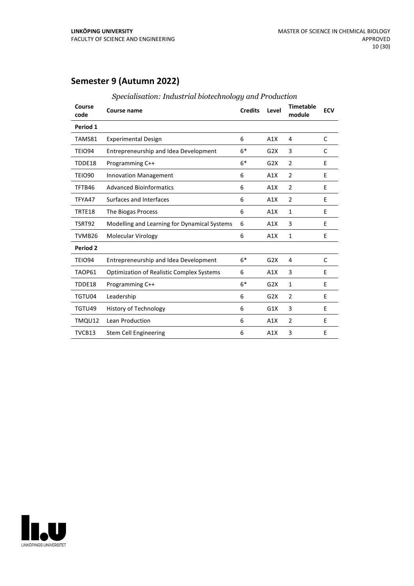## **Semester 9 (Autumn 2022)**

| Course<br>code | <b>Course name</b>                               | <b>Credits</b> | Level            | <b>Timetable</b><br>module | <b>ECV</b> |
|----------------|--------------------------------------------------|----------------|------------------|----------------------------|------------|
| Period 1       |                                                  |                |                  |                            |            |
| TAMS81         | <b>Experimental Design</b>                       | 6              | A1X              | 4                          | C          |
| TEIO94         | Entrepreneurship and Idea Development            | $6*$           | G <sub>2</sub> X | 3                          | C          |
| TDDE18         | Programming C++                                  | $6*$           | G2X              | $\overline{2}$             | E          |
| <b>TEIO90</b>  | <b>Innovation Management</b>                     | 6              | A1X              | 2                          | E          |
| TFTB46         | <b>Advanced Bioinformatics</b>                   | 6              | A1X              | 2                          | E          |
| TFYA47         | Surfaces and Interfaces                          | 6              | A1X              | $\overline{2}$             | E          |
| TRTE18         | The Biogas Process                               | 6              | A1X              | $\mathbf{1}$               | E          |
| TSRT92         | Modelling and Learning for Dynamical Systems     | 6              | A1X              | 3                          | E          |
| TVMB26         | Molecular Virology                               | 6              | A1X              | $\mathbf{1}$               | E          |
| Period 2       |                                                  |                |                  |                            |            |
| TEIO94         | Entrepreneurship and Idea Development            | $6*$           | G2X              | 4                          | C          |
| TAOP61         | <b>Optimization of Realistic Complex Systems</b> | 6              | A1X              | 3                          | E          |
| TDDE18         | Programming C++                                  | $6*$           | G2X              | $\mathbf{1}$               | E          |
| TGTU04         | Leadership                                       | 6              | G <sub>2</sub> X | 2                          | E          |
| TGTU49         | <b>History of Technology</b>                     | 6              | G1X              | 3                          | E          |
| TMQU12         | Lean Production                                  | 6              | A1X              | $\overline{2}$             | E          |
| TVCB13         | Stem Cell Engineering                            | 6              | A1X              | 3                          | E          |

*Specialisation: Industrial biotechnology and Production*

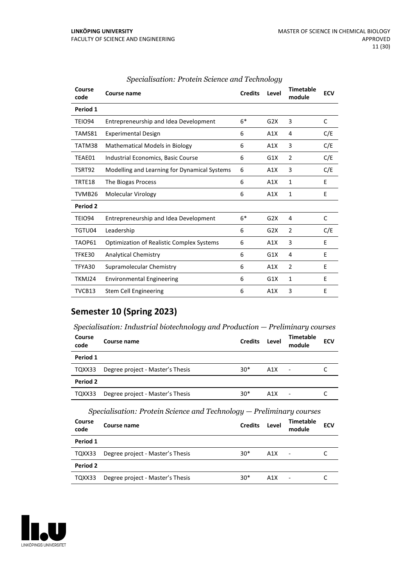| Course<br>code | Course name                                      | <b>Credits</b> | Level | <b>Timetable</b><br>module | <b>ECV</b> |
|----------------|--------------------------------------------------|----------------|-------|----------------------------|------------|
| Period 1       |                                                  |                |       |                            |            |
| <b>TEIO94</b>  | Entrepreneurship and Idea Development            | $6*$           | G2X   | 3                          | C          |
| TAMS81         | <b>Experimental Design</b>                       | 6              | A1X   | 4                          | C/E        |
| TATM38         | <b>Mathematical Models in Biology</b>            | 6              | A1X   | 3                          | C/E        |
| TEAE01         | Industrial Economics, Basic Course               | 6              | G1X   | 2                          | C/E        |
| TSRT92         | Modelling and Learning for Dynamical Systems     | 6              | A1X   | 3                          | C/E        |
| TRTE18         | The Biogas Process                               | 6              | A1X   | $\mathbf{1}$               | E          |
| TVMB26         | Molecular Virology                               | 6              | A1X   | 1                          | E          |
| Period 2       |                                                  |                |       |                            |            |
| TEIO94         | Entrepreneurship and Idea Development            | $6*$           | G2X   | 4                          | C          |
| TGTU04         | Leadership                                       | 6              | G2X   | 2                          | C/E        |
| TAOP61         | <b>Optimization of Realistic Complex Systems</b> | 6              | A1X   | 3                          | E          |
| TFKE30         | <b>Analytical Chemistry</b>                      | 6              | G1X   | 4                          | E          |
| TFYA30         | Supramolecular Chemistry                         | 6              | A1X   | 2                          | E          |
| TKMJ24         | <b>Environmental Engineering</b>                 | 6              | G1X   | 1                          | E          |
| TVCB13         | Stem Cell Engineering                            | 6              | A1X   | 3                          | E          |

## *Specialisation: Protein Science and Technology*

## **Semester 10 (Spring 2023)**

| Course<br>code | Course name                      | <b>Credits</b> | Level | <b>Timetable</b><br>module | <b>ECV</b> |  |  |
|----------------|----------------------------------|----------------|-------|----------------------------|------------|--|--|
| Period 1       |                                  |                |       |                            |            |  |  |
| TQXX33         | Degree project - Master's Thesis | $30*$          | A1X   | $\blacksquare$             |            |  |  |
| Period 2       |                                  |                |       |                            |            |  |  |
| TQXX33         | Degree project - Master's Thesis | $30*$          | A1X   | ٠                          |            |  |  |

*Specialisation: Protein Science and Technology — Preliminary courses*

| Course<br>code | Course name                      | <b>Credits</b> | Level | <b>Timetable</b><br>module | <b>ECV</b> |
|----------------|----------------------------------|----------------|-------|----------------------------|------------|
| Period 1       |                                  |                |       |                            |            |
| TQXX33         | Degree project - Master's Thesis | $30*$          | A1X   | $\overline{\phantom{a}}$   |            |
| Period 2       |                                  |                |       |                            |            |
| TQXX33         | Degree project - Master's Thesis | $30*$          | A1X   | $\overline{\phantom{a}}$   |            |

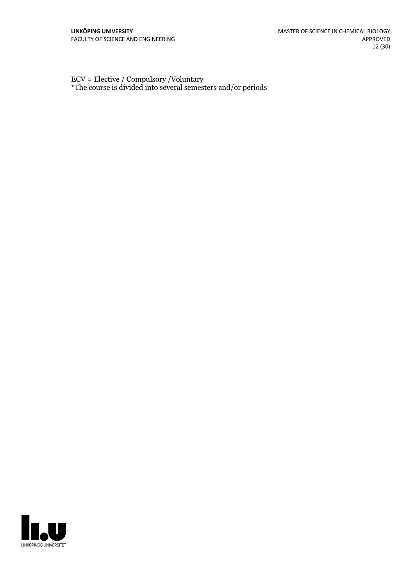ECV = Elective / Compulsory /Voluntary \*The course is divided into several semesters and/or periods

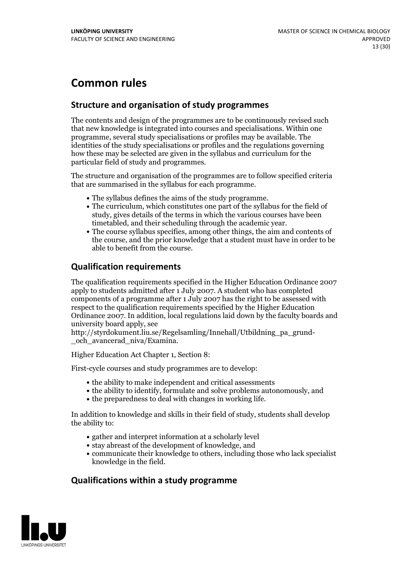## **Common rules**

### **Structure and organisation of study programmes**

The contents and design of the programmes are to be continuously revised such that new knowledge is integrated into courses and specialisations. Within one programme, several study specialisations or profiles may be available. The identities of the study specialisations or profiles and the regulations governing how these may be selected are given in the syllabus and curriculum for the particular field of study and programmes.

The structure and organisation of the programmes are to follow specified criteria that are summarised in the syllabus for each programme.

- 
- The syllabus defines the aims of the study programme.<br>• The curriculum, which constitutes one part of the syllabus for the field of study, gives details of the terms in which the various courses have been
- The course syllabus specifies, among other things, the aim and contents of the course, and the prior knowledge that a student must have in order to be able to benefit from the course.

## **Qualification requirements**

The qualification requirements specified in the Higher Education Ordinance 2007 apply to students admitted after 1 July 2007. A student who has completed components of a programme after 1 July 2007 has the right to be assessed with respect to the qualification requirements specified by the Higher Education Ordinance 2007. In addition, local regulations laid down by the faculty boards and university board apply, see

http://styrdokument.liu.se/Regelsamling/Innehall/Utbildning\_pa\_grund- \_och\_avancerad\_niva/Examina.

Higher Education Act Chapter 1, Section 8:

First-cycle courses and study programmes are to develop:

- $\bullet$  the ability to make independent and critical assessments
- the ability to identify, formulate and solve problems autonomously, and
- $\bullet$  the preparedness to deal with changes in working life.

In addition to knowledge and skills in their field of study, students shall develop the ability to:

- gather and interpret information at a scholarly level
- stay abreast of the development of knowledge, and
- communicate their knowledge to others, including those who lack specialist knowledge in the field.

#### **Qualifications within a study programme**

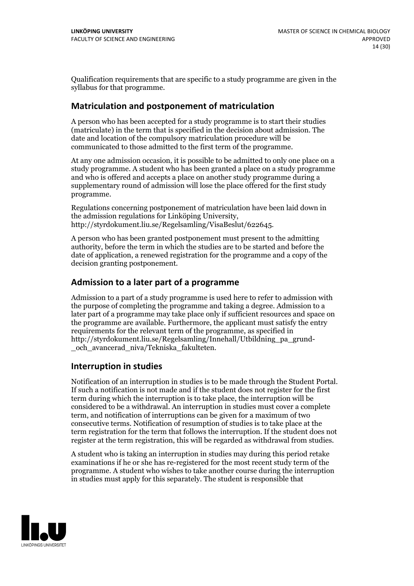Qualification requirements that are specific to a study programme are given in the syllabus for that programme.

#### **Matriculation and postponement of matriculation**

A person who has been accepted for a study programme is to start their studies (matriculate) in the term that is specified in the decision about admission. The date and location of the compulsory matriculation procedure will be communicated to those admitted to the first term of the programme.

At any one admission occasion, it is possible to be admitted to only one place on a study programme. A student who has been granted a place on a study programme and who is offered and accepts a place on another study programme during a supplementary round of admission will lose the place offered for the first study programme.

Regulations concerning postponement of matriculation have been laid down in the admission regulations for Linköping University, http://styrdokument.liu.se/Regelsamling/VisaBeslut/622645.

A person who has been granted postponement must present to the admitting authority, before the term in which the studies are to be started and before the date of application, a renewed registration for the programme and a copy of the decision granting postponement.

#### **Admission to a later part of a programme**

Admission to a part of a study programme is used here to refer to admission with the purpose of completing the programme and taking a degree. Admission to a later part of a programme may take place only if sufficient resources and space on the programme are available. Furthermore, the applicant must satisfy the entry requirements for the relevant term of the programme, as specified in http://styrdokument.liu.se/Regelsamling/Innehall/Utbildning\_pa\_grund- \_och\_avancerad\_niva/Tekniska\_fakulteten.

#### **Interruption in studies**

Notification of an interruption in studies is to be made through the Student Portal. If such <sup>a</sup> notification is not made and if the student does not register for the first term during which the interruption is to take place, the interruption will be considered to be a withdrawal. An interruption in studies must cover a complete term, and notification of interruptions can be given for a maximum of two consecutive terms. Notification of resumption of studies is to take place at the term registration for the term that follows the interruption. If the student does not register at the term registration, this will be regarded as withdrawal from studies.

A student who is taking an interruption in studies may during this period retake examinations if he or she has re-registered for the most recent study term of the programme. A student who wishes to take another course during the interruption in studies must apply for this separately. The student is responsible that

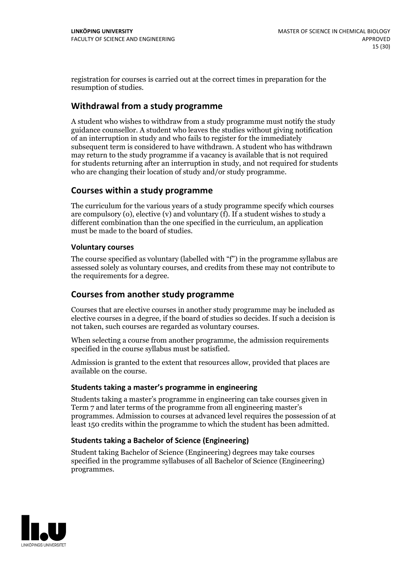registration for courses is carried outat the correct times in preparation for the resumption of studies.

#### **Withdrawal from a study programme**

A student who wishes to withdraw from a study programme must notify the study guidance counsellor. A student who leaves the studies without giving notification of an interruption in study and who fails to register for the immediately subsequent term is considered to have withdrawn. A student who has withdrawn may return to the study programme if a vacancy is available that is not required for students returning after an interruption in study, and not required for students who are changing their location of study and/or study programme.

#### **Courses within a study programme**

The curriculum for the various years of a study programme specify which courses are compulsory (o), elective (v) and voluntary (f). If a student wishes to study a different combination than the one specified in the curriculum, an application must be made to the board of studies.

#### **Voluntarycourses**

The course specified as voluntary (labelled with "f") in the programme syllabus are assessed solely as voluntary courses, and credits from these may not contribute to the requirements for a degree.

#### **Courses from another study programme**

Courses that are elective courses in another study programme may be included as elective courses in a degree, if the board of studies so decides. If such a decision is not taken, such courses are regarded as voluntary courses.

When selecting a course from another programme, the admission requirements specified in the course syllabus must be satisfied.

Admission is granted to the extent that resources allow, provided that places are available on the course.

#### **Students taking a master's programme in engineering**

Students taking a master's programme in engineering can take courses given in Term 7 and later terms of the programme from all engineering master's programmes. Admission to courses at advanced level requires the possession of at least 150 credits within the programme to which the student has been admitted.

#### **Students taking a Bachelor of Science (Engineering)**

Student taking Bachelor of Science (Engineering) degrees may take courses specified in the programme syllabuses of all Bachelor of Science (Engineering) programmes.

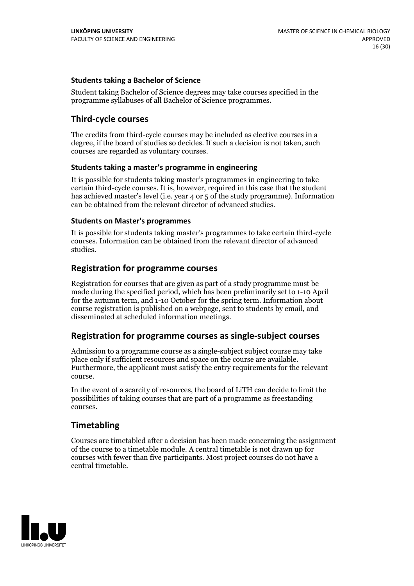#### **Students taking a Bachelor of Science**

Student taking Bachelor of Science degrees may take courses specified in the programme syllabuses of all Bachelor of Science programmes.

#### **Third-cycle courses**

The credits from third-cycle courses may be included as elective courses in a degree, if the board of studies so decides. If such a decision is not taken, such courses are regarded as voluntary courses.

#### **Students taking a master's programme in engineering**

It is possible for students taking master's programmes in engineering to take certain third-cycle courses. It is, however, required in this case that the student has achieved master's level (i.e. year 4 or 5 of the study programme). Information can be obtained from the relevant director of advanced studies.

#### **Students on Master's programmes**

It is possible for students taking master's programmes to take certain third-cycle courses. Information can be obtained from the relevant director of advanced studies.

#### **Registration for programme courses**

Registration for courses that are given as part of a study programme must be made during the specified period, which has been preliminarily set to 1-10 April for the autumn term, and 1-10 October for the spring term. Information about course registration is published on a webpage, sent to students by email, and disseminated at scheduled information meetings.

#### **Registration for programme courses as single-subject courses**

Admission to a programme course as a single-subject subject course may take place only if sufficient resources and space on the course are available. Furthermore, the applicant must satisfy the entry requirements for the relevant course.

In the event of a scarcity of resources, the board of LiTH can decide to limit the possibilities of taking courses that are part of a programme as freestanding courses.

#### **Timetabling**

Courses are timetabled after a decision has been made concerning the assignment of the course to a timetable module. A central timetable is not drawn up for courses with fewer than five participants. Most project courses do not have a central timetable.

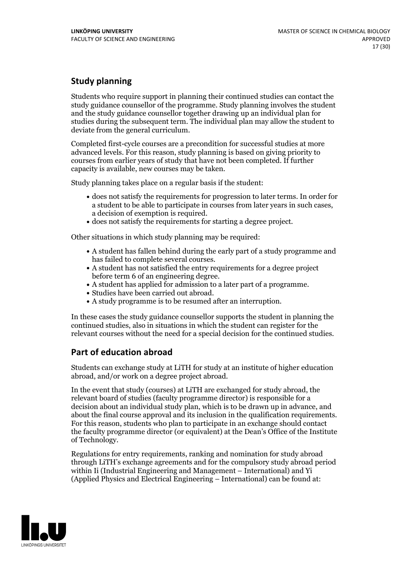## **Study planning**

Students who require support in planning their continued studies can contact the study guidance counsellor of the programme. Study planning involves the student and the study guidance counsellor together drawing up an individual plan for studies during the subsequent term. The individual plan may allow the student to deviate from the general curriculum.

Completed first-cycle courses are a precondition for successful studies at more advanced levels. For this reason, study planning is based on giving priority to courses from earlier years of study that have not been completed. If further capacity is available, new courses may be taken.

Study planning takes place on a regular basis if the student:

- does not satisfy the requirements for progression to later terms. In order for a student to be able to participate in courses from later years in such cases, a decision of exemption is required.<br>
• does not satisfy the requirements for starting a degree project.
- 

Other situations in which study planning may be required:

- A student has fallen behind during the early part of a study programme and has failed to complete several courses.<br>• A student has not satisfied the entry requirements for a degree project
- 
- before term 6 of an engineering degree.<br>• A student has applied for admission to a later part of a programme.<br>• Studies have been carried out abroad.<br>• A study programme is to be resumed after an interruption.
- 
- 

In these cases the study guidance counsellor supports the student in planning the continued studies, also in situations in which the student can register for the relevant courses without the need for a special decision for the continued studies.

## **Part of education abroad**

Students can exchange study at LiTH for study at an institute of higher education abroad, and/or work on a degree project abroad.

In the event that study (courses) at LiTH are exchanged for study abroad, the relevant board of studies (faculty programme director) is responsible for a decision about an individual study plan, which is to be drawn up in advance, and about the final course approval and its inclusion in the qualification requirements. For this reason, students who plan to participate in an exchange should contact the faculty programme director (or equivalent) at the Dean's Office ofthe Institute of Technology.

Regulations for entry requirements, ranking and nomination for study abroad through LiTH's exchange agreements and for the compulsory study abroad period within Ii (Industrial Engineering and Management – International) and Yi (Applied Physics and Electrical Engineering – International) can be found at:

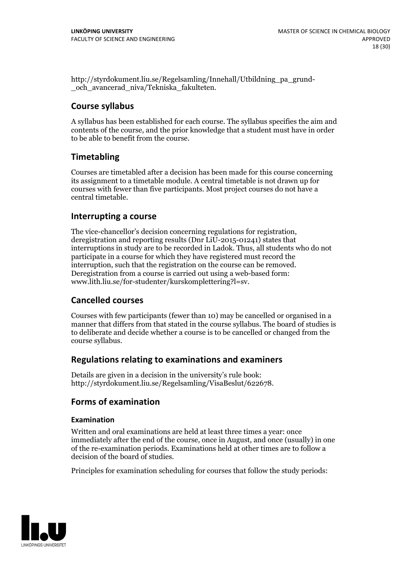http://styrdokument.liu.se/Regelsamling/Innehall/Utbildning\_pa\_grund- \_och\_avancerad\_niva/Tekniska\_fakulteten.

#### **Course syllabus**

A syllabus has been established for each course. The syllabus specifies the aim and contents of the course, and the prior knowledge that a student must have in order to be able to benefit from the course.

## **Timetabling**

Courses are timetabled after a decision has been made for this course concerning its assignment to a timetable module. A central timetable is not drawn up for courses with fewer than five participants. Most project courses do not have a central timetable.

#### **Interrupting a course**

The vice-chancellor's decision concerning regulations for registration, deregistration and reporting results (Dnr LiU-2015-01241) states that interruptions in study are to be recorded in Ladok. Thus, all students who do not participate in a course for which they have registered must record the interruption, such that the registration on the course can be removed. Deregistration from <sup>a</sup> course is carried outusing <sup>a</sup> web-based form: www.lith.liu.se/for-studenter/kurskomplettering?l=sv.

#### **Cancelled courses**

Courses with few participants (fewer than 10) may be cancelled or organised in a manner that differs from that stated in the course syllabus. The board of studies is to deliberate and decide whether a course is to be cancelled orchanged from the course syllabus.

#### **Regulations relatingto examinations and examiners**

Details are given in a decision in the university's rule book: http://styrdokument.liu.se/Regelsamling/VisaBeslut/622678.

## **Forms of examination**

#### **Examination**

Written and oral examinations are held at least three times a year: once immediately after the end of the course, once in August, and once (usually) in one of the re-examination periods. Examinations held at other times are to follow a decision of the board of studies.

Principles for examination scheduling for courses that follow the study periods:

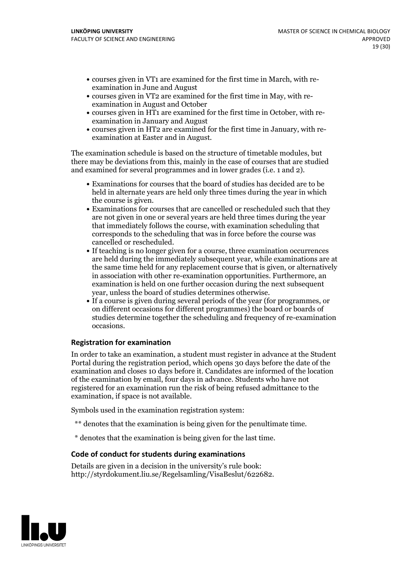- courses given in VT1 are examined for the first time in March, with re-examination in June and August
- courses given in VT2 are examined for the first time in May, with re-examination in August and October
- courses given in HT1 are examined for the first time in October, with re-examination in January and August
- courses given in HT2 are examined for the first time in January, with re-examination at Easter and in August.

The examination schedule is based on the structure of timetable modules, but there may be deviations from this, mainly in the case of courses that are studied and examined for several programmes and in lower grades (i.e. 1 and 2).

- Examinations for courses that the board of studies has decided are to be held in alternate years are held only three times during the year in which the course is given.<br>• Examinations for courses that are cancelled or rescheduled such that they
- are not given in one or several years are held three times during the year that immediately follows the course, with examination scheduling that corresponds to the scheduling that was in force before the course was cancelled or rescheduled.<br>• If teaching is no longer given for a course, three examination occurrences
- are held during the immediately subsequent year, while examinations are at the same time held for any replacement course that is given, or alternatively in association with other re-examination opportunities. Furthermore, an examination is held on one further occasion during the next subsequent
- year, unless the board of studies determines otherwise.<br>If a course is given during several periods of the year (for programmes, or on different occasions for different programmes) the board orboards of studies determine together the scheduling and frequency of re-examination occasions.

#### **Registration for examination**

In order to take an examination, a student must register in advance at the Student Portal during the registration period, which opens 30 days before the date of the examination and closes 10 days before it. Candidates are informed of the location of the examination by email, four days in advance. Students who have not registered for an examination run the risk of being refused admittance to the examination, if space is not available.

Symbols used in the examination registration system:

- \*\* denotes that the examination is being given for the penultimate time.
- \* denotes that the examination is being given for the last time.

#### **Code of conduct for students during examinations**

Details are given in a decision in the university's rule book: http://styrdokument.liu.se/Regelsamling/VisaBeslut/622682.

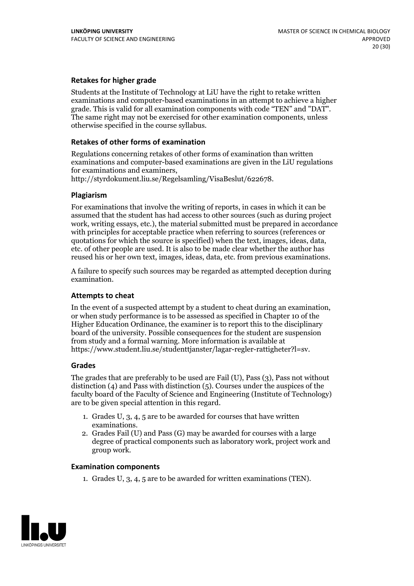#### **Retakes for higher grade**

Students at the Institute of Technology at LiU have the right to retake written examinations and computer-based examinations in an attempt to achieve a higher grade. This is valid for all examination components with code "TEN" and "DAT". The same right may not be exercised for other examination components, unless otherwise specified in the course syllabus.

#### **Retakes of other forms of examination**

Regulations concerning retakes of other forms of examination than written examinations and computer-based examinations are given in the LiU regulations

http://styrdokument.liu.se/Regelsamling/VisaBeslut/622678.

#### **Plagiarism**

For examinations that involve the writing of reports, in cases in which it can be assumed that the student has had access to other sources (such as during project work, writing essays, etc.), the material submitted must be prepared in accordance with principles for acceptable practice when referring to sources (references or quotations for which the source is specified) when the text, images, ideas, data, etc. of other people are used. It is also to be made clear whether the author has reused his or her own text, images, ideas, data, etc. from previous examinations.

A failure to specify such sources may be regarded as attempted deception during examination.

#### **Attempts to cheat**

In the event of <sup>a</sup> suspected attempt by <sup>a</sup> student to cheat during an examination, or when study performance is to be assessed as specified in Chapter <sup>10</sup> of the Higher Education Ordinance, the examiner is to report this to the disciplinary board of the university. Possible consequences for the student are suspension from study and a formal warning. More information is available at https://www.student.liu.se/studenttjanster/lagar-regler-rattigheter?l=sv.

#### **Grades**

The grades that are preferably to be used are Fail (U), Pass (3), Pass not without distinction  $(4)$  and Pass with distinction  $(5)$ . Courses under the auspices of the faculty board of the Faculty of Science and Engineering (Institute of Technology) are to be given special attention in this regard.

- 1. Grades U, 3, 4, 5 are to be awarded for courses that have written
- examinations. 2. Grades Fail (U) and Pass (G) may be awarded for courses with <sup>a</sup> large degree of practical components such as laboratory work, project work and group work.

#### **Examination components**

1. Grades U, 3, 4, 5 are to be awarded for written examinations (TEN).

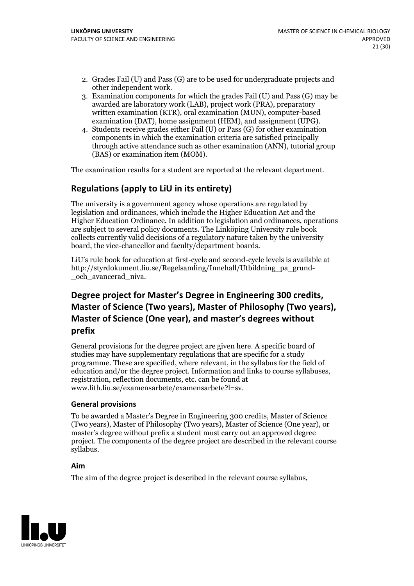- 2. Grades Fail (U) and Pass (G) are to be used for undergraduate projects and other independent work. 3. Examination components for which the grades Fail (U) and Pass (G) may be
- awarded are laboratory work (LAB), project work (PRA), preparatory written examination (KTR), oral examination (MUN), computer-based examination (DAT), home assignment (HEM), and assignment (UPG). 4. Students receive grades either Fail (U) or Pass (G) for other examination
- components in which the examination criteria are satisfied principally through active attendance such as other examination (ANN), tutorial group (BAS) or examination item (MOM).

The examination results for a student are reported at the relevant department.

## **Regulations (applyto LiU in its entirety)**

The university is a government agency whose operations are regulated by legislation and ordinances, which include the Higher Education Act and the Higher Education Ordinance. In addition to legislation and ordinances, operations are subject to several policy documents. The Linköping University rule book collects currently valid decisions of a regulatory nature taken by the university board, the vice-chancellor and faculty/department boards.

LiU's rule book for education at first-cycle and second-cycle levels is available at http://styrdokument.liu.se/Regelsamling/Innehall/Utbildning\_pa\_grund- \_och\_avancerad\_niva.

## **Degree project for Master's Degree in Engineering 300 credits, Master** of Science (Two years), Master of Philosophy (Two years), **Master ofScience (One year), and master's degrees without prefix**

General provisions for the degree project are given here. A specific board of studies may have supplementary regulations that are specific for a study programme. These are specified, where relevant, in the syllabus for the field of education and/or the degree project. Information and links to course syllabuses, registration, reflection documents, etc. can be found at www.lith.liu.se/examensarbete/examensarbete?l=sv.

#### **General provisions**

To be awarded a Master's Degree in Engineering 300 credits, Master of Science (Two years), Master of Philosophy (Two years), Master of Science (One year), or master's degree without prefix a student must carry out an approved degree project. The components of the degree project are described in the relevant course syllabus.

#### **Aim**

The aim of the degree project is described in the relevant course syllabus,

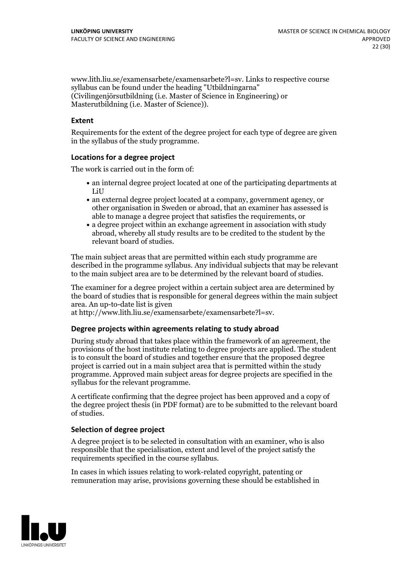www.lith.liu.se/examensarbete/examensarbete?l=sv. Links to respective course syllabus can be found under the heading "Utbildningarna" (Civilingenjörsutbildning (i.e. Master of Science in Engineering) or Masterutbildning (i.e. Master of Science)).

#### **Extent**

Requirements for the extent of the degree project for each type of degree are given in the syllabus of the study programme.

#### **Locations for a degree project**

The work is carried out in the form of:

- an internal degree project located at one of the participating departments at LiU
- an external degree project located at a company, government agency, or other organisation in Sweden or abroad, that an examiner has assessed is able to manage a degree project that satisfies the requirements, or
- a degree project within an exchange agreement in association with study abroad, whereby all study results are to be credited to the student by the relevant board of studies.

The main subject areas that are permitted within each study programme are described in the programme syllabus. Any individual subjects that may be relevant to the main subject area are to be determined by the relevant board of studies.

The examiner for a degree project within a certain subject area are determined by the board of studies that is responsible for general degrees within the main subject area. An up-to-date list is given

at http://www.lith.liu.se/examensarbete/examensarbete?l=sv.

#### **Degree projects within agreements relatingto study abroad**

During study abroad that takes place within the framework of an agreement, the provisions of the host institute relating to degree projects are applied. The student is to consult the board of studies and together ensure that the proposed degree project is carried out in a main subject area that is permitted within the study programme. Approved main subject areas for degree projects are specified in the syllabus for the relevant programme.

A certificate confirming that the degree project has been approved and a copy of the degree project thesis (in PDF format) are to be submitted to the relevant board of studies.

#### **Selection of degree project**

A degree project is to be selected in consultation with an examiner, who is also responsible that the specialisation, extent and level of the project satisfy the requirements specified in the course syllabus.

In cases in which issues relating to work-related copyright, patenting or remuneration may arise, provisions governing these should be established in

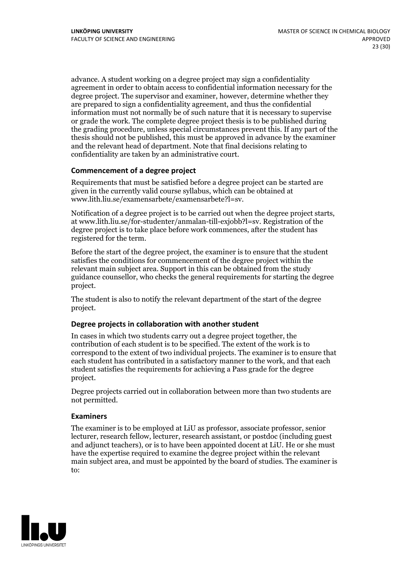advance. A student working on a degree project may sign a confidentiality agreement in order to obtain access to confidential information necessary for the degree project. The supervisor and examiner, however, determine whether they are prepared to sign a confidentiality agreement, and thus the confidential information must not normally be of such nature that it is necessary to supervise or grade the work. The complete degree project thesis is to be published during the grading procedure, unless special circumstances prevent this. If any part of the thesis should not be published, this must be approved in advance by the examiner and the relevant head of department. Note that final decisions relating to confidentiality are taken by an administrative court.

#### **Commencement of a degree project**

Requirements that must be satisfied before a degree project can be started are given in the currently valid course syllabus, which can be obtained at www.lith.liu.se/examensarbete/examensarbete?l=sv.

Notification of <sup>a</sup> degree project is to be carried outwhen the degree project starts, at www.lith.liu.se/for-studenter/anmalan-till-exjobb?l=sv. Registration of the degree project is to take place before work commences, after the student has registered for the term.

Before the start of the degree project, the examiner is to ensure that the student satisfies the conditions for commencement of the degree project within the relevant main subject area. Support in this can be obtained from the study guidance counsellor, who checks the general requirements for starting the degree project.

The student is also to notify the relevant department of the start of the degree project.

#### **Degree projects in collaboration with another student**

In cases in which two students carry out a degree project together, the contribution of each student is to be specified. The extent of the work is to correspond to the extent of two individual projects. The examiner is to ensure that each student has contributed in a satisfactory manner to the work, and that each student satisfies the requirements for achieving a Pass grade for the degree project.

Degree projects carried out in collaboration between more than two students are not permitted.

#### **Examiners**

The examiner is to be employed at LiU as professor, associate professor, senior lecturer, research fellow, lecturer, research assistant, or postdoc (including guest and adjunct teachers), or is to have been appointed docent at LiU. He or she must have the expertise required to examine the degree project within the relevant main subject area, and must be appointed by the board of studies. The examiner is to:

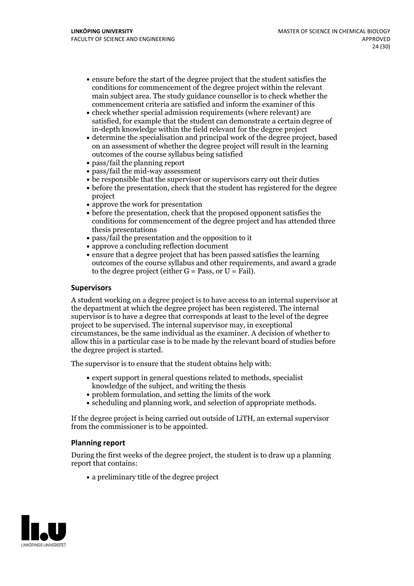- ensure before the start of the degree project that the student satisfies the conditions for commencement of the degree project within the relevant main subject area. The study guidance counsellor is to check whether the commencement criteria are satisfied and inform the examiner of this
- check whether special admission requirements (where relevant) are satisfied, for example that the student can demonstrate a certain degree of in-depth knowledge within the field relevant for the degree project
- determine the specialisation and principal work of the degree project, based on an assessment of whether the degree project will result in the learning outcomes of the course syllabus being satisfied
- pass/fail the planning report
- pass/fail the mid-way assessment
- be responsible that the supervisor or supervisors carry out their duties
- before the presentation, check that the student has registered for the degree project
- approve the work for presentation
- before the presentation, check that the proposed opponent satisfies the conditions for commencement of the degree project and has attended three thesis presentations
- pass/fail the presentation and the opposition to it
- approve a concluding reflection document
- ensure that a degree project that has been passed satisfies the learning outcomes of the course syllabus and other requirements, and award a grade to the degree project (either  $G = Pass$ , or  $U = Fail$ ).

#### **Supervisors**

A student working on a degree project is to have access to an internal supervisor at the department at which the degree project has been registered. The internal supervisor is to have a degree that corresponds at least to the level of the degree project to be supervised. The internal supervisor may, in exceptional circumstances, be the same individual as the examiner. A decision of whether to allow this in a particular case is to be made by the relevant board of studies before the degree project is started.

The supervisor is to ensure that the student obtains help with:

- expert support in general questions related to methods, specialist knowledge of the subject, and writing the thesis
- problem formulation, and setting the limits of the work
- scheduling and planning work, and selection of appropriate methods.

If the degree project is being carried out outside of LiTH, an external supervisor from the commissioner is to be appointed.

#### **Planning report**

During the first weeks of the degree project, the student is to draw up a planning report that contains:

 $\bullet$  a preliminary title of the degree project

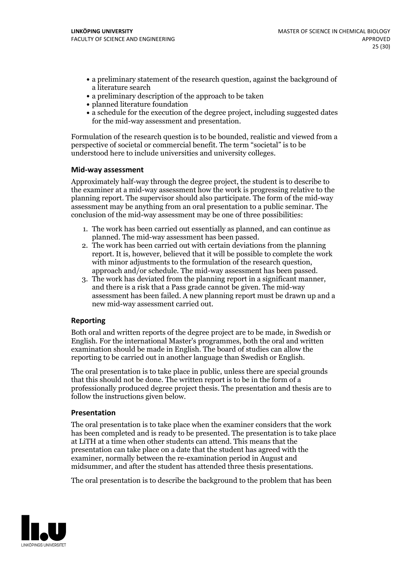- a preliminary statement of the research question, against the background of a literature search
- a preliminary description of the approach to be taken
- planned literature foundation
- a schedule for the execution of the degree project, including suggested dates for the mid-way assessment and presentation.

Formulation of the research question is to be bounded, realistic and viewed from a perspective of societal or commercial benefit. The term "societal" is to be understood here to include universities and university colleges.

#### **Mid-way assessment**

Approximately half-way through the degree project, the student is to describe to the examiner at a mid-way assessment how the work is progressing relative to the planning report. The supervisor should also participate. The form of the mid-way assessment may be anything from an oral presentation to a public seminar. The conclusion of the mid-way assessment may be one of three possibilities:

- 1. The work has been carried out essentially as planned, and can continue as planned. The mid-way assessment has been passed. 2. The work has been carried outwith certain deviations from the planning
- report. It is, however, believed that it will be possible to complete the work
- approach and/or schedule. The mid-way assessment has been passed.<br>3. The work has deviated from the planning report in a significant manner, and there is a risk that a Pass grade cannot be given. The mid-way assessment has been failed. A new planning report must be drawn up and a new mid-way assessment carried out.

#### **Reporting**

Both oral and written reports of the degree project are to be made, in Swedish or English. For the international Master's programmes, both the oral and written examination should be made in English. The board of studies can allow the reporting to be carried out in another language than Swedish or English.

The oral presentation is to take place in public, unless there are special grounds that this should not be done. The written report is to be in the form of a professionally produced degree project thesis. The presentation and thesis are to follow the instructions given below.

#### **Presentation**

The oral presentation is to take place when the examiner considers that the work has been completed and is ready to be presented. The presentation is to take place at LiTH at a time when other students can attend. This means that the presentation can take place on a date that the student has agreed with the examiner, normally between the re-examination period in August and midsummer, and after the student has attended three thesis presentations.

The oral presentation is to describe the background to the problem that has been

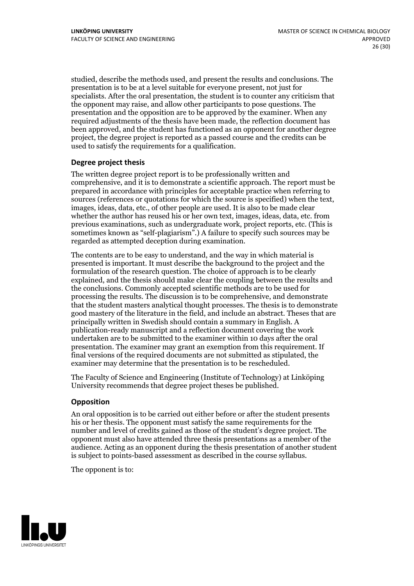studied, describe the methods used, and present the results and conclusions. The presentation is to be at a level suitable for everyone present, not just for specialists. After the oral presentation, the student is to counter any criticism that the opponent may raise, and allow other participants to pose questions. The presentation and the opposition are to be approved by the examiner. When any required adjustments of the thesis have been made, the reflection document has been approved, and the student has functioned as an opponent for another degree project, the degree project is reported as a passed course and the credits can be used to satisfy the requirements for a qualification.

#### **Degree project thesis**

The written degree project report is to be professionally written and comprehensive, and it is to demonstrate a scientific approach. The report must be prepared in accordance with principles for acceptable practice when referring to sources (references or quotations for which the source is specified) when the text, images, ideas, data, etc., of other people are used. It is also to be made clear whether the author has reused his or her own text, images, ideas, data, etc. from previous examinations, such asundergraduate work, project reports, etc. (This is sometimes known as"self-plagiarism".) A failure to specify such sources may be regarded as attempted deception during examination.

The contents are to be easy to understand, and the way in which material is presented is important. It must describe the background to the project and the formulation of the research question. The choice of approach is to be clearly explained, and the thesis should make clear the coupling between the results and the conclusions. Commonly accepted scientific methods are to be used for processing the results. The discussion is to be comprehensive, and demonstrate that the student masters analytical thought processes. The thesis is to demonstrate good mastery of the literature in the field, and include an abstract. Theses that are principally written in Swedish should contain a summary in English. A publication-ready manuscript and a reflection document covering the work undertaken are to be submitted to the examiner within 10 days after the oral presentation. The examiner may grant an exemption from this requirement. If final versions of the required documents are not submitted as stipulated, the examiner may determine that the presentation is to be rescheduled.

The Faculty of Science and Engineering (Institute of Technology) at Linköping University recommends that degree project theses be published.

#### **Opposition**

An oral opposition is to be carried out either before or after the student presents his or her thesis. The opponent must satisfy the same requirements for the number and level of credits gained as those of the student's degree project. The opponent must also have attended three thesis presentations as a member of the audience. Acting as an opponent during the thesis presentation of another student is subject to points-based assessment as described in the course syllabus.

The opponent is to:

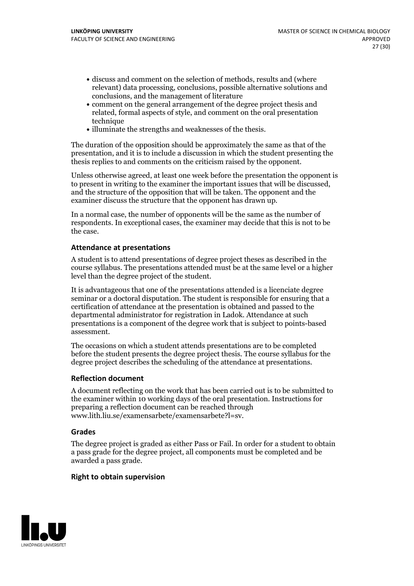- discuss and comment on the selection of methods, results and (where relevant) data processing, conclusions, possible alternative solutions and conclusions, and the management of literature
- comment on the general arrangement of the degree project thesis and related, formal aspects of style, and comment on the oral presentation technique
- illuminate the strengths and weaknesses of the thesis.

The duration of the opposition should be approximately the same as that of the presentation, and it is to include a discussion in which the student presenting the thesis replies to and comments on the criticism raised by the opponent.

Unless otherwise agreed, at least one week before the presentation the opponent is to present in writing to the examiner the important issues that will be discussed, and the structure ofthe opposition that will be taken. The opponent and the examiner discuss the structure that the opponent has drawn up.

In a normal case, the number of opponents will be the same as the number of respondents. In exceptional cases, the examiner may decide that this is not to be the case.

#### **Attendance at presentations**

A student is to attend presentations of degree project theses as described in the course syllabus. The presentations attended must be at the same level or a higher level than the degree project of the student.

It is advantageous that one of the presentations attended is a licenciate degree seminar or a doctoral disputation. The student is responsible for ensuring that a certification of attendance at the presentation is obtained and passed to the departmental administrator for registration in Ladok. Attendance at such presentations is a component of the degree work that is subject to points-based assessment.

The occasions on which a student attends presentations are to be completed before the student presents the degree project thesis. The course syllabus for the degree project describes the scheduling of the attendance at presentations.

#### **Reflection document**

A document reflecting on the work that has been carried outis to be submitted to the examiner within 10 working days of the oral presentation. Instructions for preparing a reflection document can be reached through www.lith.liu.se/examensarbete/examensarbete?l=sv.

#### **Grades**

The degree project is graded as either Pass or Fail. In order for a student to obtain a pass grade for the degree project, all components must be completed and be awarded a pass grade.

#### **Right to obtain supervision**

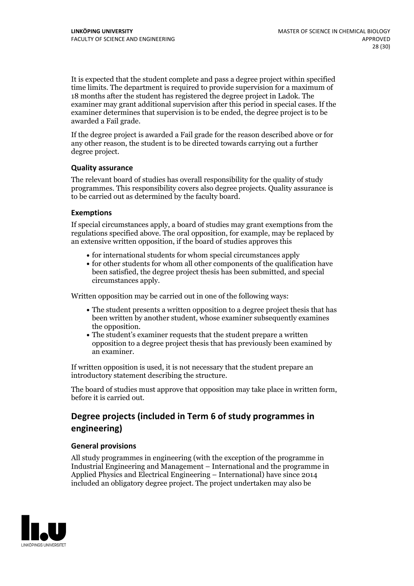It is expected that the student complete and pass a degree project within specified time limits. The department is required to provide supervision for a maximum of 18 months after the student has registered the degree project in Ladok. The examiner may grant additional supervision after this period in special cases. If the examiner determines that supervision is to be ended, the degree project is to be awarded a Fail grade.

If the degree project is awarded a Fail grade for the reason described above or for any other reason, the student is to be directed towards carrying out a further degree project.

#### **Quality assurance**

The relevant board of studies has overall responsibility for the quality of study programmes. This responsibility covers also degree projects. Quality assurance is to be carried out as determined by the faculty board.

#### **Exemptions**

If special circumstances apply, a board of studies may grant exemptions from the regulations specified above. The oral opposition, for example, may be replaced by an extensive written opposition, if the board of studies approves this

- for international students for whom special circumstances apply
- for other students for whom all other components of the qualification have been satisfied, the degree project thesis has been submitted, and special circumstances apply.

Written opposition may be carried out in one of the following ways:

- The student presents a written opposition to a degree project thesis that has been written by another student, whose examiner subsequently examines the opposition.<br>• The student's examiner requests that the student prepare a written
- opposition to a degree project thesis that has previously been examined by an examiner.

If written opposition is used, it is not necessary that the student prepare an introductory statement describing the structure.

The board of studies must approve that opposition may take place in written form, before it is carried out.

## **Degree projects (included in Term 6 of study programmes in engineering)**

#### **General provisions**

All study programmes in engineering (with the exception of the programme in Industrial Engineering and Management – International and the programme in Applied Physics and Electrical Engineering – International) have since 2014 included an obligatory degree project. The project undertaken may also be

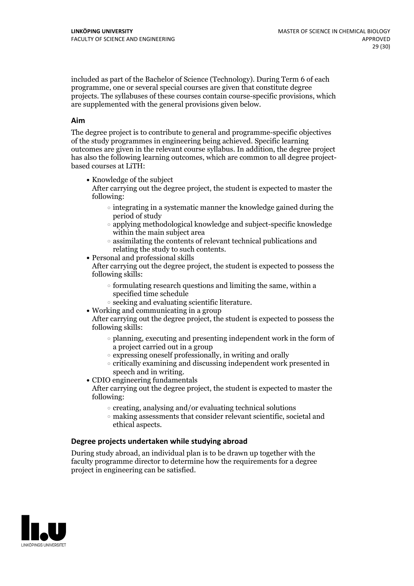included as part of the Bachelor of Science (Technology). During Term 6 of each programme, one or several special courses are given that constitute degree projects. The syllabuses of these courses contain course-specific provisions, which are supplemented with the general provisions given below.

#### **Aim**

The degree project is to contribute to general and programme-specific objectives of the study programmes in engineering being achieved. Specific learning outcomes are given in the relevant course syllabus. In addition, the degree project has also the following learning outcomes, which are common to all degree project- based courses at LiTH:

• Knowledge of the subject

After carrying out the degree project, the student is expected to master the following:

- $\circ$  integrating in a systematic manner the knowledge gained during the period of study
- applying methodological knowledge and subject-specific knowledge within the main subject area
- $\circ$  assimilating the contents of relevant technical publications and relating the study to such contents.<br>• Personal and professional skills
- 

After carrying out the degree project, the student is expected to possess the following skills:

- $\circ$  formulating research questions and limiting the same, within a specified time schedule
- $\circ$  seeking and evaluating scientific literature.<br>• Working and communicating in a group
- 

After carrying out the degree project, the student is expected to possess the following skills:

- $\circ$  planning, executing and presenting independent work in the form of a project carried out in a group
- $\circ$  expressing oneself professionally, in writing and orally
- $\circ$  critically examining and discussing independent work presented in speech and in writing.
- $\bullet$  CDIO engineering fundamentals

After carrying out the degree project, the student is expected to master the following:

- $\circ$  creating, analysing and/or evaluating technical solutions
- making assessments that consider relevant scientific, societal and ethical aspects.

#### **Degree projects undertaken while studying abroad**

During study abroad, an individual plan is to be drawn up together with the faculty programme director to determine how the requirements for a degree project in engineering can be satisfied.